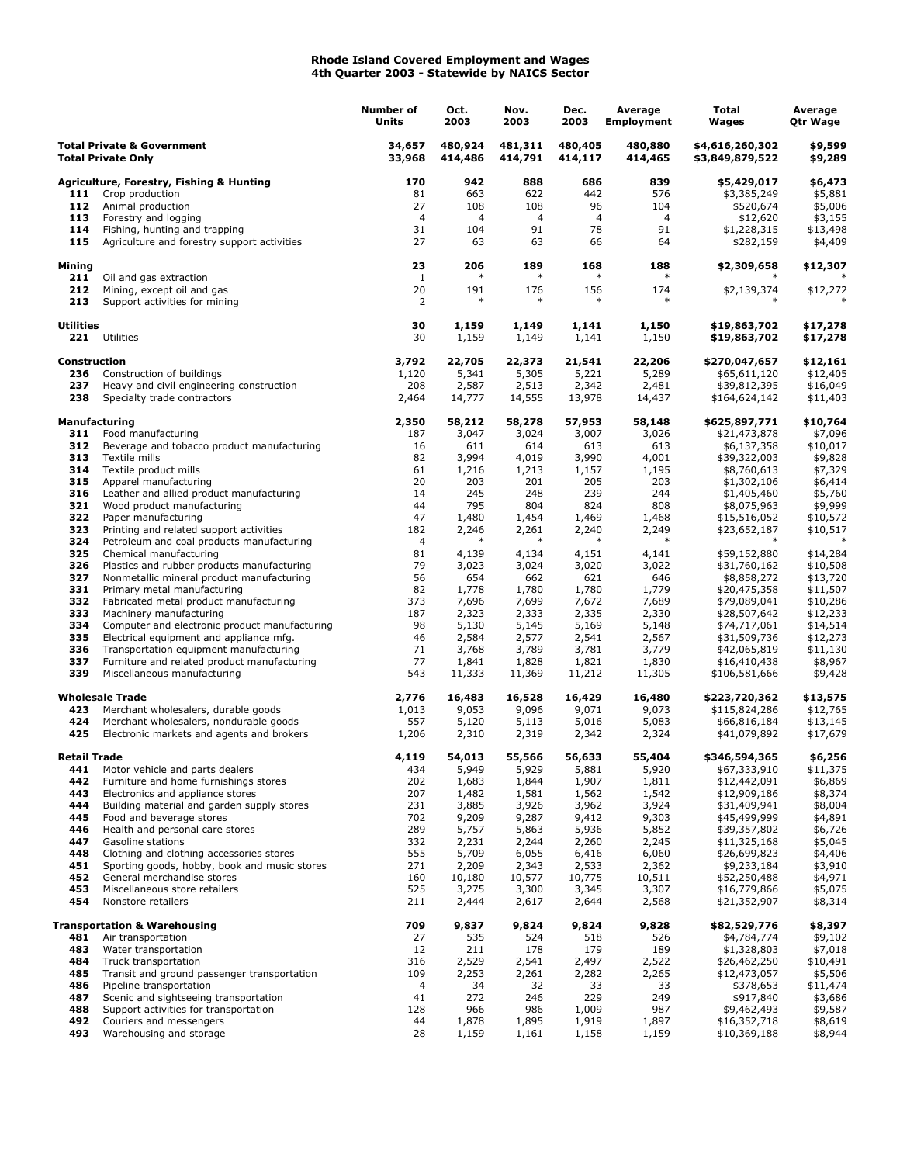## **Rhode Island Covered Employment and Wages 4th Quarter 2003 - Statewide by NAICS Sector**

|                                                                    |                                                                                       | Number of<br>Units | Oct.<br>2003       | Nov.<br>2003       | Dec.<br>2003       | Average<br><b>Employment</b> | Total<br>Wages                     | Average<br>Qtr Wage  |
|--------------------------------------------------------------------|---------------------------------------------------------------------------------------|--------------------|--------------------|--------------------|--------------------|------------------------------|------------------------------------|----------------------|
| <b>Total Private &amp; Government</b><br><b>Total Private Only</b> |                                                                                       | 34,657<br>33,968   | 480,924<br>414,486 | 481,311<br>414,791 | 480,405<br>414,117 | 480,880<br>414,465           | \$4,616,260,302<br>\$3,849,879,522 | \$9,599<br>\$9,289   |
|                                                                    | <b>Agriculture, Forestry, Fishing &amp; Hunting</b>                                   | 170                | 942                | 888                | 686                | 839                          | \$5,429,017                        | \$6,473              |
| 111                                                                | Crop production                                                                       | 81                 | 663                | 622                | 442                | 576                          | \$3,385,249                        | \$5,881              |
| 112                                                                | Animal production                                                                     | 27                 | 108                | 108                | 96                 | 104                          | \$520,674                          | \$5,006              |
| 113                                                                | Forestry and logging                                                                  | $\overline{4}$     | 4                  | $\overline{4}$     | 4                  | $\overline{4}$               | \$12,620                           | \$3,155              |
| 114<br>115                                                         | Fishing, hunting and trapping                                                         | 31<br>27           | 104<br>63          | 91<br>63           | 78<br>66           | 91<br>64                     | \$1,228,315                        | \$13,498             |
|                                                                    | Agriculture and forestry support activities                                           |                    |                    |                    |                    |                              | \$282,159                          | \$4,409              |
| Mining<br>211                                                      | Oil and gas extraction                                                                | 23<br>1            | 206<br>$\ast$      | 189<br>$\ast$      | 168<br>$\ast$      | 188                          | \$2,309,658                        | \$12,307             |
| 212<br>213                                                         | Mining, except oil and gas<br>Support activities for mining                           | 20<br>2            | 191<br>$\ast$      | 176<br>$\ast$      | 156<br>$\ast$      | 174<br>$\ast$                | \$2,139,374                        | \$12,272             |
| <b>Utilities</b>                                                   | 221 Utilities                                                                         | 30<br>30           | 1,159<br>1,159     | 1,149<br>1,149     | 1,141<br>1,141     | 1,150<br>1,150               | \$19,863,702<br>\$19,863,702       | \$17,278<br>\$17,278 |
| Construction                                                       |                                                                                       | 3,792              | 22,705             | 22,373             | 21,541             | 22,206                       | \$270,047,657                      | \$12,161             |
| 236                                                                | Construction of buildings                                                             | 1,120              | 5,341              | 5,305              | 5,221              | 5,289                        | \$65,611,120                       | \$12,405             |
| 237                                                                | Heavy and civil engineering construction                                              | 208                | 2,587              | 2,513              | 2,342              | 2,481                        | \$39,812,395                       | \$16,049             |
| 238                                                                | Specialty trade contractors                                                           | 2,464              | 14,777             | 14,555             | 13,978             | 14,437                       | \$164,624,142                      | \$11,403             |
| <b>Manufacturing</b><br>311                                        |                                                                                       | 2,350<br>187       | 58,212<br>3,047    | 58,278<br>3,024    | 57,953<br>3,007    | 58,148<br>3,026              | \$625,897,771                      | \$10,764<br>\$7,096  |
| 312                                                                | Food manufacturing<br>Beverage and tobacco product manufacturing                      | 16                 | 611                | 614                | 613                | 613                          | \$21,473,878<br>\$6,137,358        | \$10,017             |
| 313                                                                | Textile mills                                                                         | 82                 | 3,994              | 4,019              | 3,990              | 4,001                        | \$39,322,003                       | \$9,828              |
| 314                                                                | Textile product mills                                                                 | 61                 | 1,216              | 1,213              | 1,157              | 1,195                        | \$8,760,613                        | \$7,329              |
| 315                                                                | Apparel manufacturing                                                                 | 20                 | 203                | 201                | 205                | 203                          | \$1,302,106                        | \$6,414              |
| 316                                                                | Leather and allied product manufacturing                                              | 14                 | 245                | 248                | 239                | 244                          | \$1,405,460                        | \$5,760              |
| 321                                                                | Wood product manufacturing                                                            | 44                 | 795                | 804                | 824                | 808                          | \$8,075,963                        | \$9,999              |
| 322                                                                | Paper manufacturing                                                                   | 47                 | 1,480              | 1,454              | 1,469              | 1,468                        | \$15,516,052                       | \$10,572             |
| 323<br>324                                                         | Printing and related support activities                                               | 182<br>4           | 2,246              | 2,261              | 2,240              | 2,249                        | \$23,652,187                       | \$10,517             |
| 325                                                                | Petroleum and coal products manufacturing<br>Chemical manufacturing                   | 81                 | 4,139              | 4,134              | 4,151              | 4,141                        | \$59,152,880                       | \$14,284             |
| 326                                                                | Plastics and rubber products manufacturing                                            | 79                 | 3,023              | 3,024              | 3,020              | 3,022                        | \$31,760,162                       | \$10,508             |
| 327                                                                | Nonmetallic mineral product manufacturing                                             | 56                 | 654                | 662                | 621                | 646                          | \$8,858,272                        | \$13,720             |
| 331                                                                | Primary metal manufacturing                                                           | 82                 | 1,778              | 1,780              | 1,780              | 1,779                        | \$20,475,358                       | \$11,507             |
| 332                                                                | Fabricated metal product manufacturing                                                | 373                | 7,696              | 7,699              | 7,672              | 7,689                        | \$79,089,041                       | \$10,286             |
| 333                                                                | Machinery manufacturing                                                               | 187                | 2,323              | 2,333              | 2,335              | 2,330                        | \$28,507,642                       | \$12,233             |
| 334                                                                | Computer and electronic product manufacturing                                         | 98                 | 5,130              | 5,145              | 5,169              | 5,148                        | \$74,717,061                       | \$14,514             |
| 335<br>336                                                         | Electrical equipment and appliance mfg.                                               | 46<br>71           | 2,584<br>3,768     | 2,577<br>3,789     | 2,541<br>3,781     | 2,567<br>3,779               | \$31,509,736                       | \$12,273             |
| 337                                                                | Transportation equipment manufacturing<br>Furniture and related product manufacturing | 77                 | 1,841              | 1,828              | 1,821              | 1,830                        | \$42,065,819<br>\$16,410,438       | \$11,130<br>\$8,967  |
| 339                                                                | Miscellaneous manufacturing                                                           | 543                | 11,333             | 11,369             | 11,212             | 11,305                       | \$106,581,666                      | \$9,428              |
|                                                                    | <b>Wholesale Trade</b>                                                                | 2,776              | 16,483             | 16,528             | 16,429             | 16,480                       | \$223,720,362                      | \$13,575             |
| 423                                                                | Merchant wholesalers, durable goods                                                   | 1,013              | 9,053              | 9,096              | 9,071              | 9,073                        | \$115,824,286                      | \$12,765             |
| 424<br>425                                                         | Merchant wholesalers, nondurable goods<br>Electronic markets and agents and brokers   | 557<br>1,206       | 5,120<br>2,310     | 5,113<br>2,319     | 5,016<br>2,342     | 5,083<br>2,324               | \$66,816,184<br>\$41,079,892       | \$13,145<br>\$17,679 |
| <b>Retail Trade</b>                                                |                                                                                       | 4,119              | 54,013             | 55,566             | 56,633             | 55,404                       | \$346,594,365                      | \$6,256              |
| 441                                                                | Motor vehicle and parts dealers                                                       | 434                | 5,949              | 5,929              | 5,881              | 5,920                        | \$67,333,910                       | \$11,375             |
| 442                                                                | Furniture and home furnishings stores                                                 | 202                | 1,683              | 1,844              | 1,907              | 1,811                        | \$12,442,091                       | \$6,869              |
| 443                                                                | Electronics and appliance stores                                                      | 207                | 1,482              | 1,581              | 1,562              | 1,542                        | \$12,909,186                       | \$8,374              |
| 444                                                                | Building material and garden supply stores                                            | 231                | 3,885              | 3,926              | 3,962              | 3,924                        | \$31,409,941                       | \$8,004              |
| 445                                                                | Food and beverage stores                                                              | 702                | 9,209              | 9,287              | 9,412              | 9,303                        | \$45,499,999                       | \$4,891              |
| 446<br>447                                                         | Health and personal care stores<br>Gasoline stations                                  | 289<br>332         | 5,757<br>2,231     | 5,863<br>2,244     | 5,936<br>2,260     | 5,852<br>2,245               | \$39,357,802<br>\$11,325,168       | \$6,726<br>\$5,045   |
| 448                                                                | Clothing and clothing accessories stores                                              | 555                | 5,709              | 6,055              | 6,416              | 6,060                        | \$26,699,823                       | \$4,406              |
| 451                                                                | Sporting goods, hobby, book and music stores                                          | 271                | 2,209              | 2,343              | 2,533              | 2,362                        | \$9,233,184                        | \$3,910              |
| 452                                                                | General merchandise stores                                                            | 160                | 10,180             | 10,577             | 10,775             | 10,511                       | \$52,250,488                       | \$4,971              |
| 453                                                                | Miscellaneous store retailers                                                         | 525                | 3,275              | 3,300              | 3,345              | 3,307                        | \$16,779,866                       | \$5,075              |
| 454                                                                | Nonstore retailers                                                                    | 211                | 2,444              | 2,617              | 2,644              | 2,568                        | \$21,352,907                       | \$8,314              |
|                                                                    | <b>Transportation &amp; Warehousing</b>                                               | 709<br>27          | 9,837              | 9,824              | 9,824              | 9,828                        | \$82,529,776                       | \$8,397              |
| 481<br>483                                                         | Air transportation<br>Water transportation                                            | 12                 | 535<br>211         | 524<br>178         | 518<br>179         | 526<br>189                   | \$4,784,774<br>\$1,328,803         | \$9,102<br>\$7,018   |
| 484                                                                | Truck transportation                                                                  | 316                | 2,529              | 2,541              | 2,497              | 2,522                        | \$26,462,250                       | \$10,491             |
| 485                                                                | Transit and ground passenger transportation                                           | 109                | 2,253              | 2,261              | 2,282              | 2,265                        | \$12,473,057                       | \$5,506              |
| 486                                                                | Pipeline transportation                                                               | 4                  | 34                 | 32                 | 33                 | 33                           | \$378,653                          | \$11,474             |
| 487                                                                | Scenic and sightseeing transportation                                                 | 41                 | 272                | 246                | 229                | 249                          | \$917,840                          | \$3,686              |
| 488                                                                | Support activities for transportation                                                 | 128                | 966                | 986                | 1,009              | 987                          | \$9,462,493                        | \$9,587              |
| 492                                                                | Couriers and messengers                                                               | 44                 | 1,878              | 1,895              | 1,919              | 1,897                        | \$16,352,718                       | \$8,619              |
| 493                                                                | Warehousing and storage                                                               | 28                 | 1,159              | 1,161              | 1,158              | 1,159                        | \$10,369,188                       | \$8,944              |